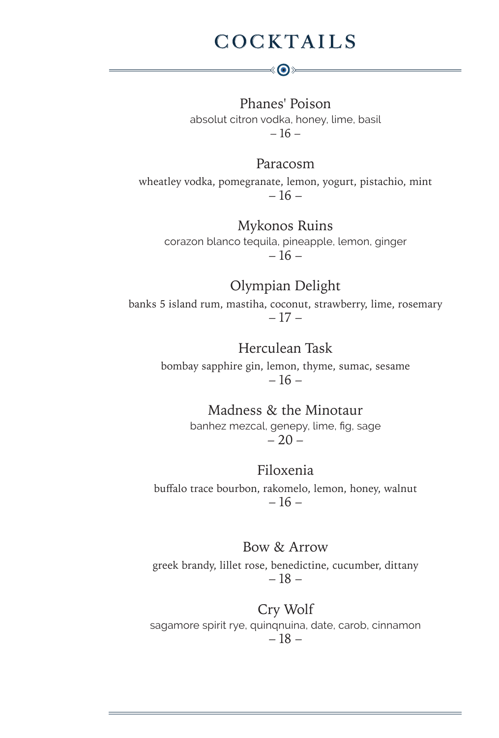### **COCKTAILS**

է⊙≽

Phanes' Poison absolut citron vodka, honey, lime, basil  $-16-$ 

#### Paracosm

wheatley vodka, pomegranate, lemon, yogurt, pistachio, mint – 16 –

#### Mykonos Ruins

corazon blanco tequila, pineapple, lemon, ginger  $-16-$ 

### Olympian Delight

banks 5 island rum, mastiha, coconut, strawberry, lime, rosemary – 17 –

### Herculean Task

bombay sapphire gin, lemon, thyme, sumac, sesame  $-16-$ 

#### Madness & the Minotaur

banhez mezcal, genepy, lime, fig, sage  $-20-$ 

### Filoxenia

buffalo trace bourbon, rakomelo, lemon, honey, walnut – 16 –

#### Bow & Arrow

greek brandy, lillet rose, benedictine, cucumber, dittany – 18 –

#### Cry Wolf

sagamore spirit rye, quinqnuina, date, carob, cinnamon – 18 –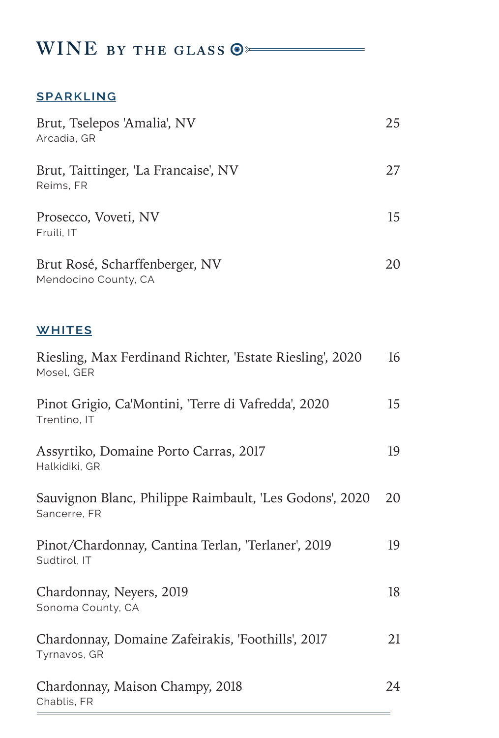### WINE BY THE GLASS  $\odot$

### **sparkling**

Chablis, FR

| Brut, Tselepos 'Amalia', NV<br>Arcadia, GR                              | 25 |
|-------------------------------------------------------------------------|----|
| Brut, Taittinger, 'La Francaise', NV<br>Reims, FR                       | 27 |
| Prosecco, Voveti, NV<br>Fruili, IT                                      | 15 |
| Brut Rosé, Scharffenberger, NV<br>Mendocino County, CA                  | 20 |
| <b>WHITES</b>                                                           |    |
| Riesling, Max Ferdinand Richter, 'Estate Riesling', 2020<br>Mosel, GER  | 16 |
| Pinot Grigio, Ca'Montini, 'Terre di Vafredda', 2020<br>Trentino, IT     | 15 |
| Assyrtiko, Domaine Porto Carras, 2017<br>Halkidiki, GR                  | 19 |
| Sauvignon Blanc, Philippe Raimbault, 'Les Godons', 2020<br>Sancerre, FR | 20 |
| Pinot/Chardonnay, Cantina Terlan, 'Terlaner', 2019<br>Sudtirol, IT      | 19 |
| Chardonnay, Neyers, 2019<br>Sonoma County, CA                           | 18 |
| Chardonnay, Domaine Zafeirakis, 'Foothills', 2017<br>Tyrnavos, GR       | 21 |
| Chardonnay, Maison Champy, 2018                                         | 24 |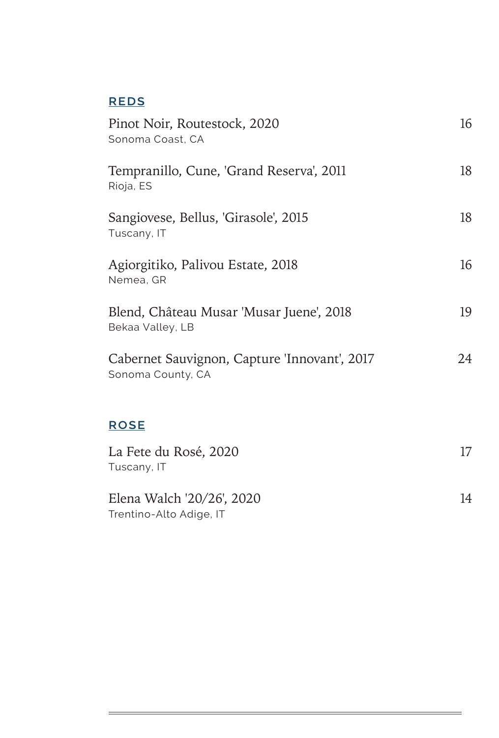### **reds**

| Pinot Noir, Routestock, 2020<br>Sonoma Coast, CA                  | 16 |
|-------------------------------------------------------------------|----|
| Tempranillo, Cune, 'Grand Reserva', 2011<br>Rioja, ES             | 18 |
| Sangiovese, Bellus, 'Girasole', 2015<br>Tuscany, IT               | 18 |
| Agiorgitiko, Palivou Estate, 2018<br>Nemea, GR                    | 16 |
| Blend, Château Musar 'Musar Juene', 2018<br>Bekaa Valley, LB      | 19 |
| Cabernet Sauvignon, Capture 'Innovant', 2017<br>Sonoma County, CA | 24 |
| <b>ROSE</b>                                                       |    |
| La Fete du Rosé, 2020<br>Tuscany, IT                              | 17 |
| Elena Walch '20/26', 2020<br>Trentino-Alto Adige, IT              | 14 |

<u> 1989 - Johann Barnett, fransk politiker (</u>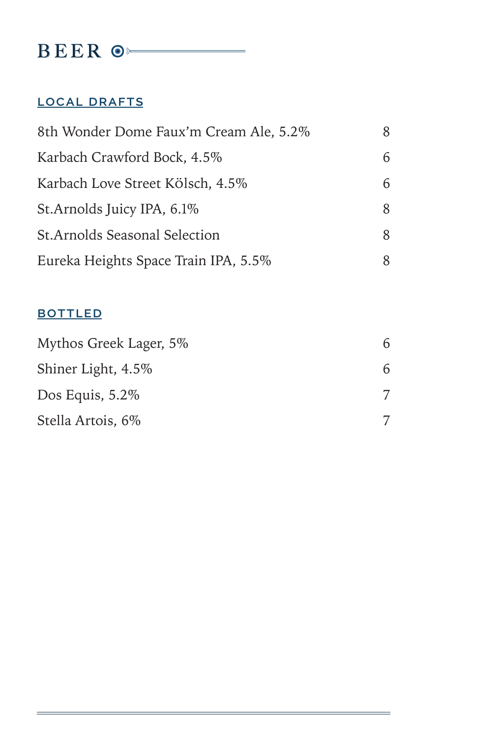### BEER  $\circ$

### **local drafts**

| 8th Wonder Dome Faux'm Cream Ale, 5.2% | 8. |
|----------------------------------------|----|
| Karbach Crawford Bock, 4.5%            | 6  |
| Karbach Love Street Kölsch, 4.5%       | 6  |
| St.Arnolds Juicy IPA, 6.1%             | 8  |
| <b>St.Arnolds Seasonal Selection</b>   | 8  |
| Eureka Heights Space Train IPA, 5.5%   |    |

### **bottled**

| Mythos Greek Lager, 5% | 6 |
|------------------------|---|
| Shiner Light, 4.5%     | 6 |
| Dos Equis, $5.2\%$     |   |
| Stella Artois, 6%      |   |

<u> 1989 - Johann Barn, amerikansk politiker (</u>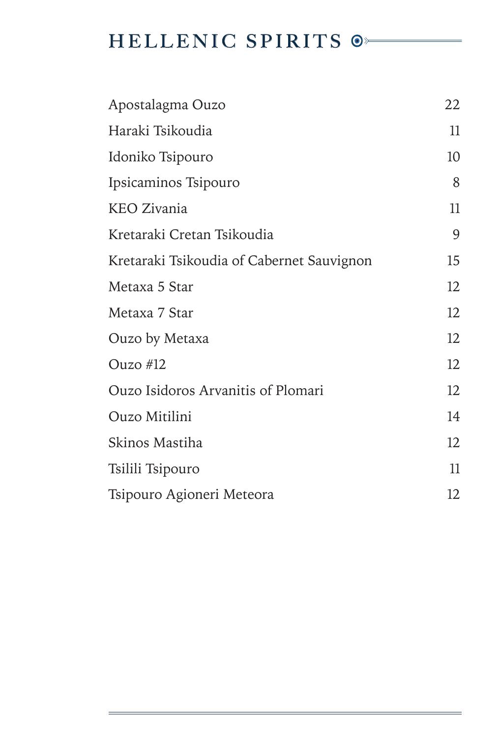# HELLENIC SPIRITS  $\circ$

| Apostalagma Ouzo                          | 22 |
|-------------------------------------------|----|
| Haraki Tsikoudia                          | 11 |
| Idoniko Tsipouro                          | 10 |
| Ipsicaminos Tsipouro                      | 8  |
| <b>KEO Zivania</b>                        | 11 |
| Kretaraki Cretan Tsikoudia                | 9  |
| Kretaraki Tsikoudia of Cabernet Sauvignon | 15 |
| Metaxa 5 Star                             | 12 |
| Metaxa 7 Star                             | 12 |
| Ouzo by Metaxa                            | 12 |
| Ouzo $#12$                                | 12 |
| Ouzo Isidoros Arvanitis of Plomari        | 12 |
| Ouzo Mitilini                             | 14 |
| Skinos Mastiha                            | 12 |
| Tsilili Tsipouro                          | 11 |
| Tsipouro Agioneri Meteora                 | 12 |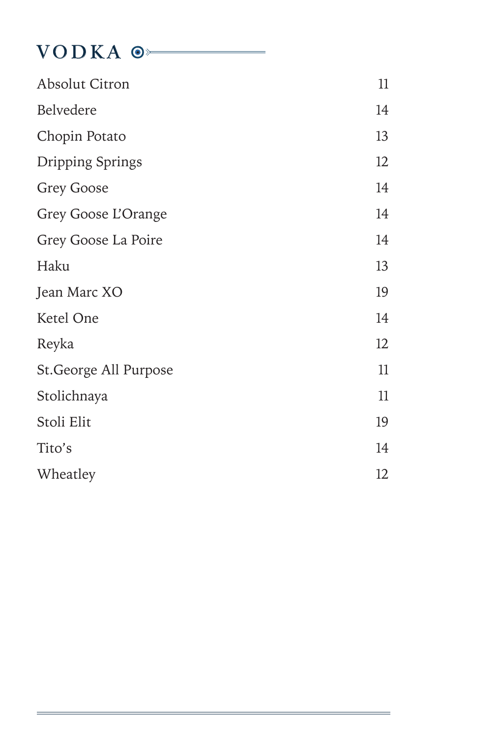### VODKA <sup>o</sup>

| <b>Absolut Citron</b>  | 11 |
|------------------------|----|
| Belvedere              | 14 |
| Chopin Potato          | 13 |
| Dripping Springs       | 12 |
| <b>Grey Goose</b>      | 14 |
| Grey Goose L'Orange    | 14 |
| Grey Goose La Poire    | 14 |
| Haku                   | 13 |
| Jean Marc XO           | 19 |
| Ketel One              | 14 |
| Reyka                  | 12 |
| St. George All Purpose | 11 |
| Stolichnaya            | 11 |
| Stoli Elit             | 19 |
| Tito's                 | 14 |
| Wheatley               | 12 |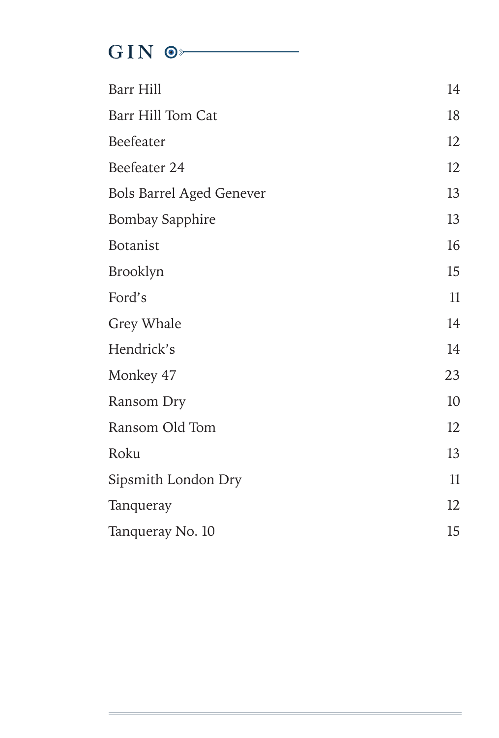# GIN  $\circ$

| Barr Hill                       | 14 |
|---------------------------------|----|
| Barr Hill Tom Cat               | 18 |
| Beefeater                       | 12 |
| Beefeater 24                    | 12 |
| <b>Bols Barrel Aged Genever</b> | 13 |
| <b>Bombay Sapphire</b>          | 13 |
| Botanist                        | 16 |
| Brooklyn                        | 15 |
| Ford's                          | 11 |
| Grey Whale                      | 14 |
| Hendrick's                      | 14 |
| Monkey 47                       | 23 |
| Ransom Dry                      | 10 |
| Ransom Old Tom                  | 12 |
| Roku                            | 13 |
| Sipsmith London Dry             | 11 |
| Tanqueray                       | 12 |
| Tanqueray No. 10                | 15 |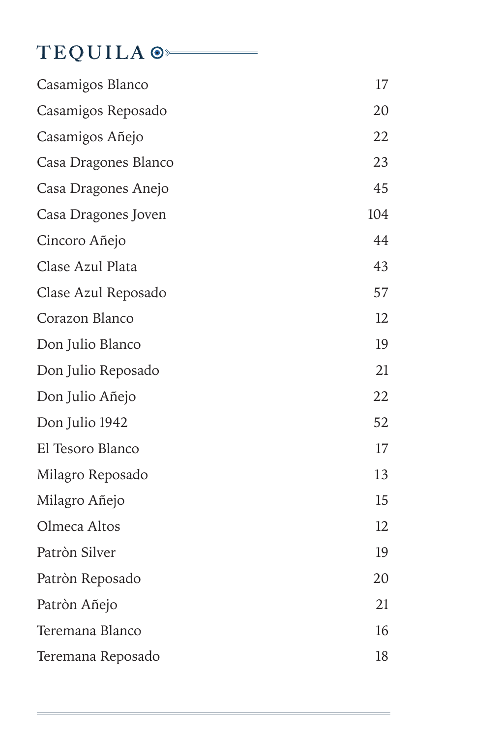# TEQUILA<sup>O</sup>

| Casamigos Blanco     | 17  |
|----------------------|-----|
| Casamigos Reposado   | 20  |
| Casamigos Añejo      | 22  |
| Casa Dragones Blanco | 23  |
| Casa Dragones Anejo  | 45  |
| Casa Dragones Joven  | 104 |
| Cincoro Añejo        | 44  |
| Clase Azul Plata     | 43  |
| Clase Azul Reposado  | 57  |
| Corazon Blanco       | 12  |
| Don Julio Blanco     | 19  |
| Don Julio Reposado   | 21  |
| Don Julio Añejo      | 22  |
| Don Julio 1942       | 52  |
| El Tesoro Blanco     | 17  |
| Milagro Reposado     | 13  |
| Milagro Añejo        | 15  |
| Olmeca Altos         | 12  |
| Patròn Silver        | 19  |
| Patròn Reposado      | 20  |
| Patròn Añejo         | 21  |
| Teremana Blanco      | 16  |
| Teremana Reposado    | 18  |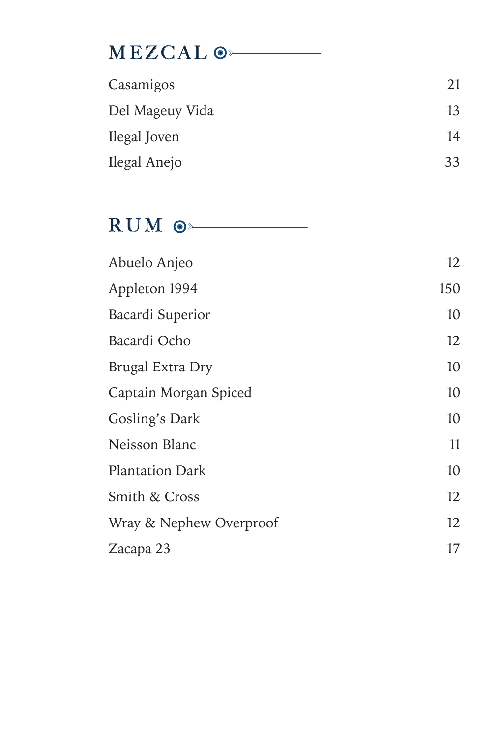# **MEZCAL**  $\circ$

| Casamigos       | 21 |
|-----------------|----|
| Del Mageuy Vida | 13 |
| Ilegal Joven    | 14 |
| Ilegal Anejo    | 33 |

RUM  $\circ$ 

| Abuelo Anjeo            | 12  |
|-------------------------|-----|
| Appleton 1994           | 150 |
| Bacardi Superior        | 10  |
| Bacardi Ocho            | 12  |
| Brugal Extra Dry        | 10  |
| Captain Morgan Spiced   | 10  |
| Gosling's Dark          | 10  |
| Neisson Blanc           | 11  |
| <b>Plantation Dark</b>  | 10  |
| Smith & Cross           | 12  |
| Wray & Nephew Overproof | 12  |
| Zacapa 23               | 17  |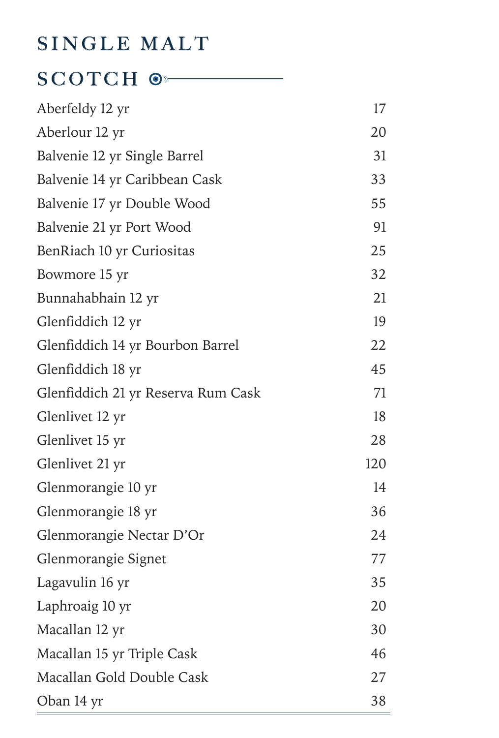# SINGLE MALT

## SCOTCH  $\circ$

| Aberfeldy 12 yr                    | 17  |
|------------------------------------|-----|
| Aberlour 12 yr                     | 20  |
| Balvenie 12 yr Single Barrel       | 31  |
| Balvenie 14 yr Caribbean Cask      | 33  |
| Balvenie 17 yr Double Wood         | 55  |
| Balvenie 21 yr Port Wood           | 91  |
| BenRiach 10 yr Curiositas          | 25  |
| Bowmore 15 yr                      | 32  |
| Bunnahabhain 12 yr                 | 21  |
| Glenfiddich 12 yr                  | 19  |
| Glenfiddich 14 yr Bourbon Barrel   | 22  |
| Glenfiddich 18 yr                  | 45  |
| Glenfiddich 21 yr Reserva Rum Cask | 71  |
| Glenlivet 12 yr                    | 18  |
| Glenlivet 15 yr                    | 28  |
| Glenlivet 21 yr                    | 120 |
| Glenmorangie 10 yr                 | 14  |
| Glenmorangie 18 yr                 | 36  |
| Glenmorangie Nectar D'Or           | 24  |
| Glenmorangie Signet                | 77  |
| Lagavulin 16 yr                    | 35  |
| Laphroaig 10 yr                    | 20  |
| Macallan 12 yr                     | 30  |
| Macallan 15 yr Triple Cask         | 46  |
| Macallan Gold Double Cask          | 27  |
| Oban 14 yr                         | 38  |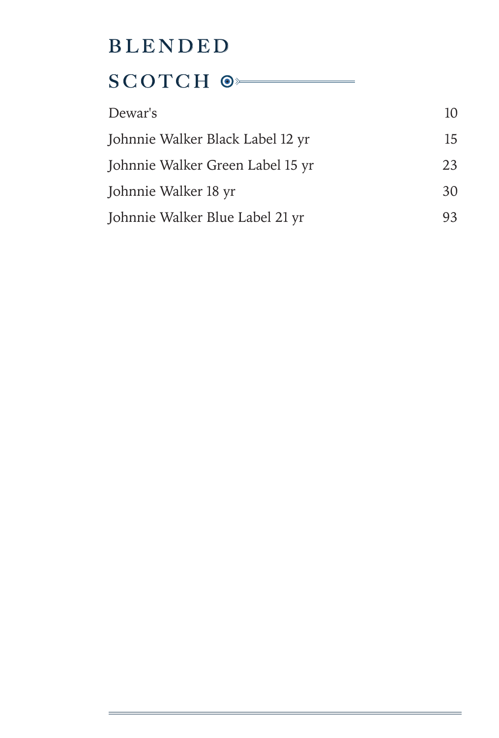# BLENDED SCOTCH  $\odot$

| Dewar's                          | 10 |
|----------------------------------|----|
| Johnnie Walker Black Label 12 yr | 15 |
| Johnnie Walker Green Label 15 yr | 23 |
| Johnnie Walker 18 yr             | 30 |
| Johnnie Walker Blue Label 21 yr  | 93 |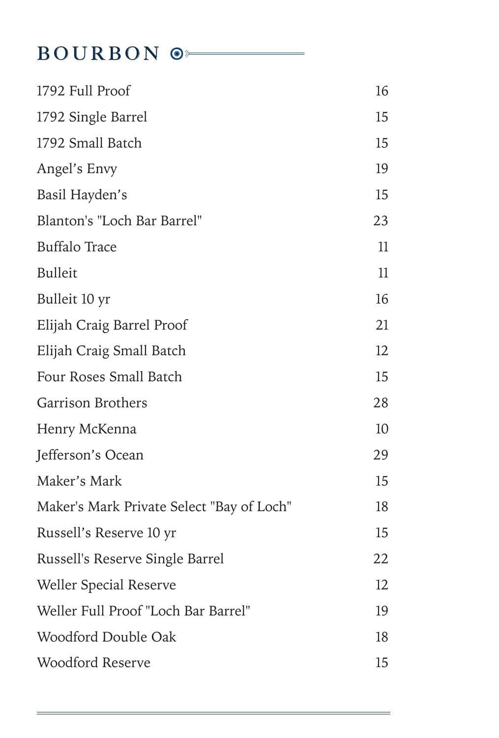# BOURBON  $\circ$

| 1792 Full Proof                           | 16 |
|-------------------------------------------|----|
| 1792 Single Barrel                        | 15 |
| 1792 Small Batch                          | 15 |
| Angel's Envy                              | 19 |
| Basil Hayden's                            | 15 |
| Blanton's "Loch Bar Barrel"               | 23 |
| <b>Buffalo Trace</b>                      | 11 |
| <b>Bulleit</b>                            | 11 |
| Bulleit 10 yr                             | 16 |
| Elijah Craig Barrel Proof                 | 21 |
| Elijah Craig Small Batch                  | 12 |
| Four Roses Small Batch                    | 15 |
| Garrison Brothers                         | 28 |
| Henry McKenna                             | 10 |
| Jefferson's Ocean                         | 29 |
| Maker's Mark                              | 15 |
| Maker's Mark Private Select "Bay of Loch" | 18 |
| Russell's Reserve 10 yr                   | 15 |
| Russell's Reserve Single Barrel           | 22 |
| <b>Weller Special Reserve</b>             | 12 |
| Weller Full Proof "Loch Bar Barrel"       | 19 |
| Woodford Double Oak                       | 18 |
| <b>Woodford Reserve</b>                   | 15 |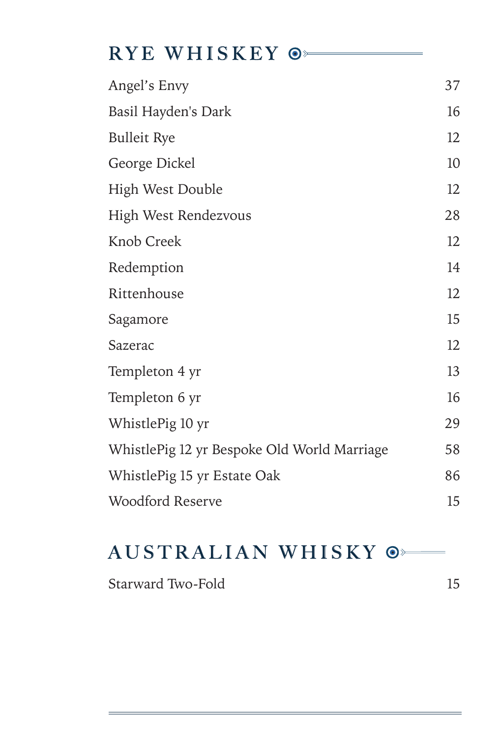## RYE WHISKEY  $\odot$

| Angel's Envy                                | 37 |
|---------------------------------------------|----|
| Basil Hayden's Dark                         | 16 |
| <b>Bulleit Rye</b>                          | 12 |
| George Dickel                               | 10 |
| <b>High West Double</b>                     | 12 |
| High West Rendezvous                        | 28 |
| Knob Creek                                  | 12 |
| Redemption                                  | 14 |
| Rittenhouse                                 | 12 |
| Sagamore                                    | 15 |
| Sazerac                                     | 12 |
| Templeton 4 yr                              | 13 |
| Templeton 6 yr                              | 16 |
| WhistlePig 10 yr                            | 29 |
| WhistlePig 12 yr Bespoke Old World Marriage | 58 |
| WhistlePig 15 yr Estate Oak                 | 86 |
| Woodford Reserve                            | 15 |

### AUSTRALIAN WHISKY  $\odot$

Starward Two-Fold 15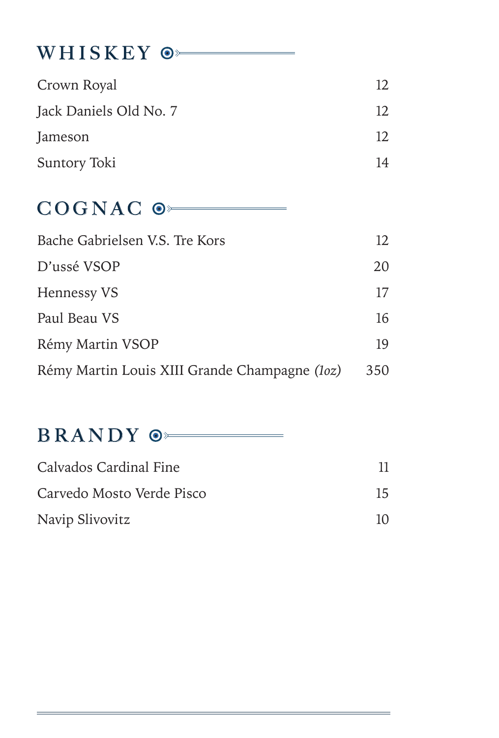# WHISKEY  $\circ$

| Crown Royal            | 12. |
|------------------------|-----|
| Jack Daniels Old No. 7 | 12. |
| Jameson                | 12. |
| Suntory Toki           | 14  |

## COGNAC<sup>O</sub></sup>

| Bache Gabrielsen V.S. Tre Kors                | 12  |
|-----------------------------------------------|-----|
| D'ussé VSOP                                   | 20  |
| Hennessy VS                                   | 17  |
| Paul Beau VS                                  | 16  |
| Rémy Martin VSOP                              | 19  |
| Rémy Martin Louis XIII Grande Champagne (loz) | 350 |

## BRANDY  $\circ$

| Calvados Cardinal Fine    |          |
|---------------------------|----------|
| Carvedo Mosto Verde Pisco | 15       |
| Navip Slivovitz           | $10^{-}$ |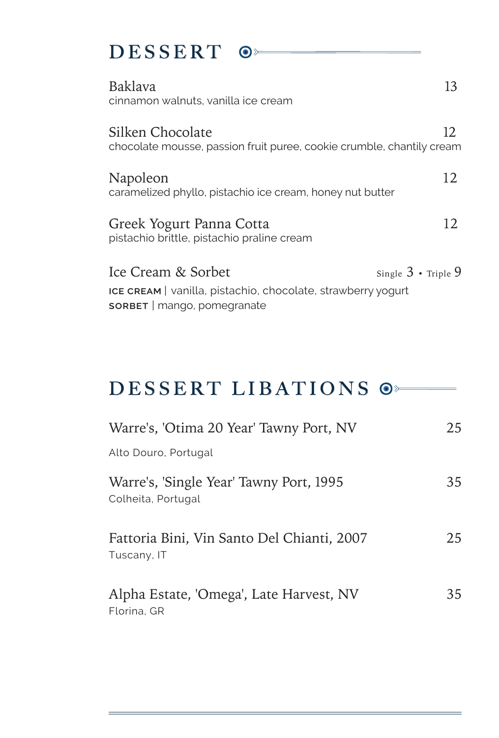## DESSERT  $\odot$

| Baklava<br>cinnamon walnuts, vanilla ice cream                                                                           | 13                          |
|--------------------------------------------------------------------------------------------------------------------------|-----------------------------|
| Silken Chocolate<br>chocolate mousse, passion fruit puree, cookie crumble, chantily cream                                | 12                          |
| Napoleon<br>caramelized phyllo, pistachio ice cream, honey nut butter                                                    | 12.                         |
| Greek Yogurt Panna Cotta<br>pistachio brittle, pistachio praline cream                                                   | 12.                         |
| Ice Cream & Sorbet<br>ICE CREAM   vanilla, pistachio, chocolate, strawberry yogurt<br><b>SORBET</b>   mango, pomegranate | Single $3 \cdot$ Triple $9$ |

### DESSERT LIBATIONS  $\circ$

| Warre's, 'Otima 20 Year' Tawny Port, NV                       | 25 |
|---------------------------------------------------------------|----|
| Alto Douro, Portugal                                          |    |
| Warre's, 'Single Year' Tawny Port, 1995<br>Colheita, Portugal | 35 |
| Fattoria Bini, Vin Santo Del Chianti, 2007<br>Tuscany, IT     | 25 |
| Alpha Estate, 'Omega', Late Harvest, NV<br>Florina, GR        | 35 |